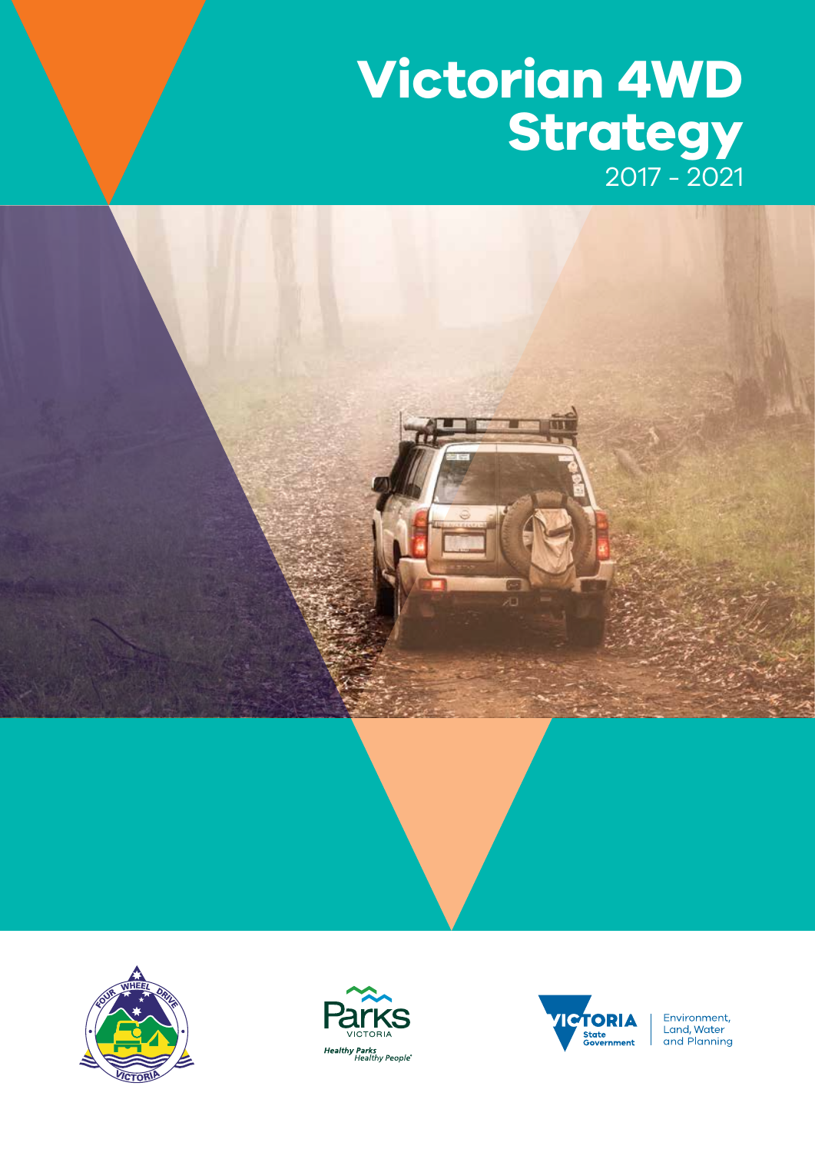# **Victorian 4WD Strategy** 2017 - 2021









Environment,<br>Land, Water<br>and Planning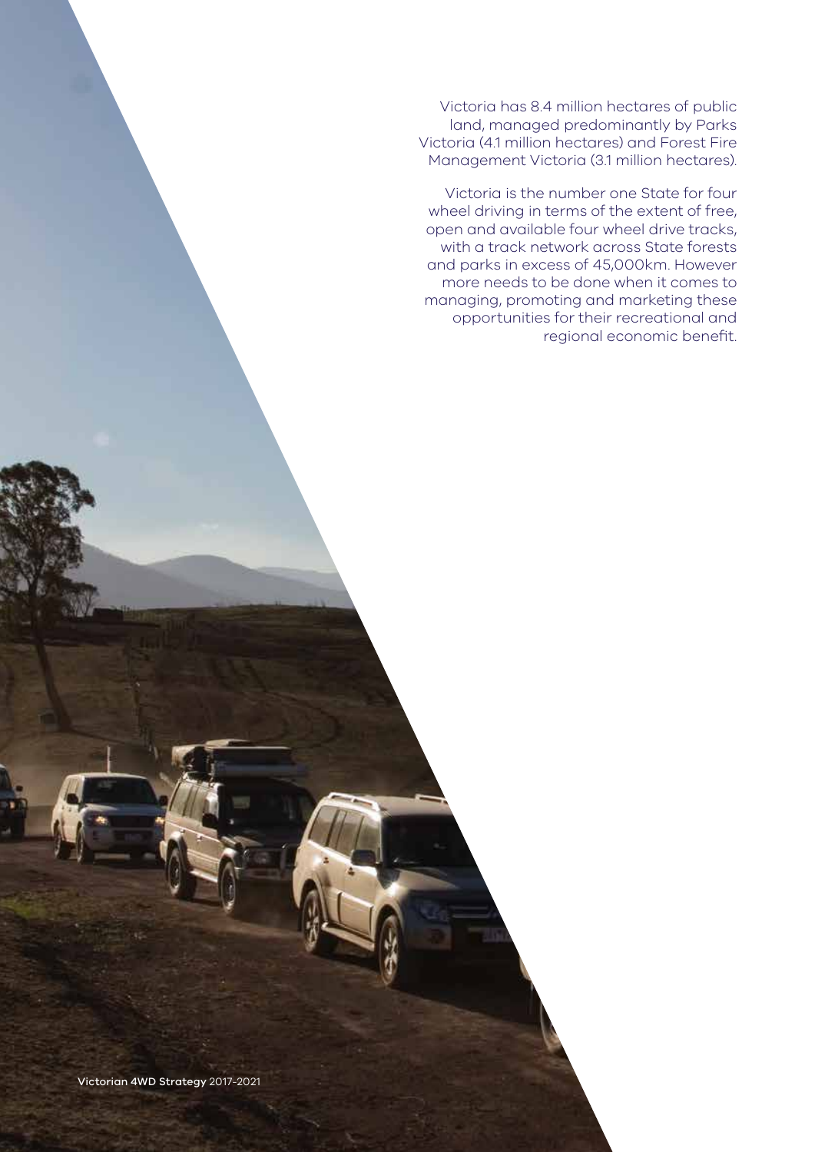Victoria has 8.4 million hectares of public land, managed predominantly by Parks Victoria (4.1 million hectares) and Forest Fire Management Victoria (3.1 million hectares).

Victoria is the number one State for four wheel driving in terms of the extent of free, open and available four wheel drive tracks, with a track network across State forests and parks in excess of 45,000km. However more needs to be done when it comes to managing, promoting and marketing these opportunities for their recreational and regional economic benefit.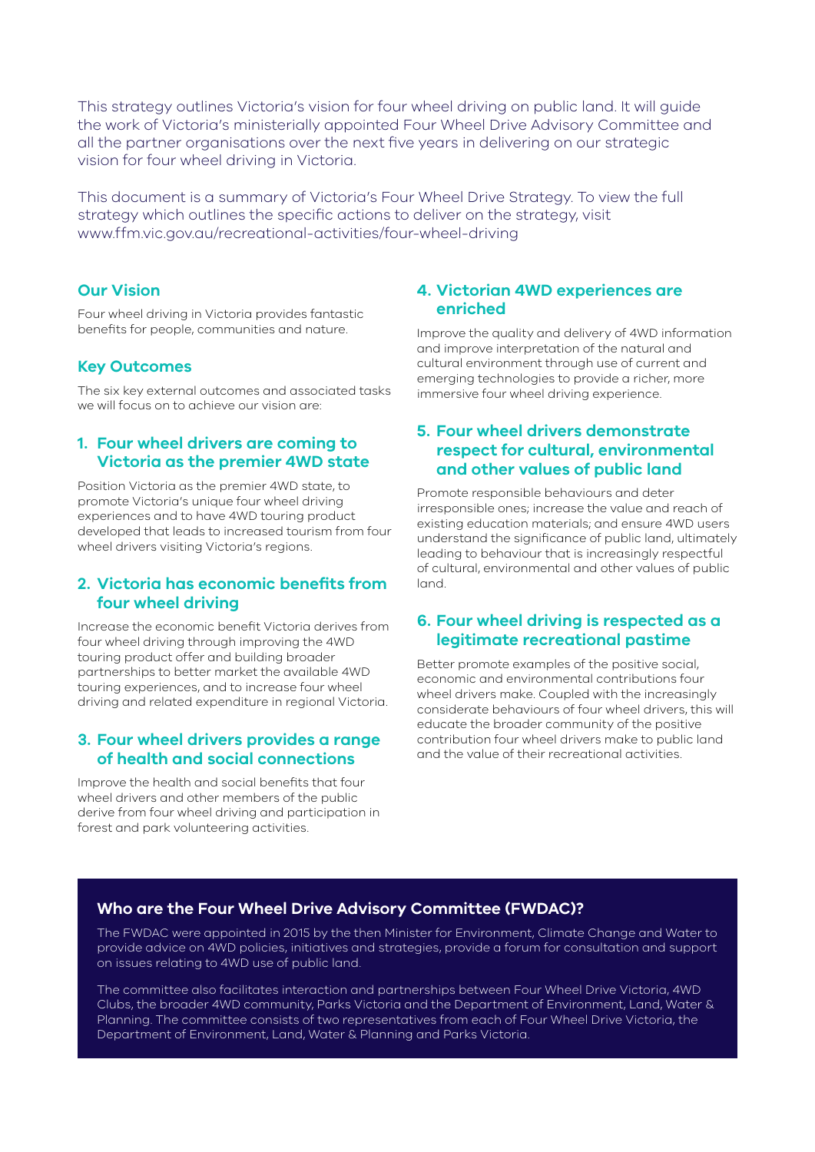This strategy outlines Victoria's vision for four wheel driving on public land. It will guide the work of Victoria's ministerially appointed Four Wheel Drive Advisory Committee and all the partner organisations over the next five years in delivering on our strategic vision for four wheel driving in Victoria.

This document is a summary of Victoria's Four Wheel Drive Strategy. To view the full strategy which outlines the specific actions to deliver on the strategy, visit www.ffm.vic.gov.au/recreational-activities/four-wheel-driving

#### **Our Vision**

Four wheel driving in Victoria provides fantastic benefits for people, communities and nature.

#### **Key Outcomes**

The six key external outcomes and associated tasks we will focus on to achieve our vision are:

#### **1. Four wheel drivers are coming to Victoria as the premier 4WD state**

Position Victoria as the premier 4WD state, to promote Victoria's unique four wheel driving experiences and to have 4WD touring product developed that leads to increased tourism from four wheel drivers visiting Victoria's regions.

#### **2. Victoria has economic benefits from four wheel driving**

Increase the economic benefit Victoria derives from four wheel driving through improving the 4WD touring product offer and building broader partnerships to better market the available 4WD touring experiences, and to increase four wheel driving and related expenditure in regional Victoria.

#### **3. Four wheel drivers provides a range of health and social connections**

Improve the health and social benefits that four wheel drivers and other members of the public derive from four wheel driving and participation in forest and park volunteering activities.

#### **4. Victorian 4WD experiences are enriched**

Improve the quality and delivery of 4WD information and improve interpretation of the natural and cultural environment through use of current and emerging technologies to provide a richer, more immersive four wheel driving experience.

#### **5. Four wheel drivers demonstrate respect for cultural, environmental and other values of public land**

Promote responsible behaviours and deter irresponsible ones; increase the value and reach of existing education materials; and ensure 4WD users understand the significance of public land, ultimately leading to behaviour that is increasingly respectful of cultural, environmental and other values of public land.

#### **6. Four wheel driving is respected as a legitimate recreational pastime**

Better promote examples of the positive social, economic and environmental contributions four wheel drivers make. Coupled with the increasingly considerate behaviours of four wheel drivers, this will educate the broader community of the positive contribution four wheel drivers make to public land and the value of their recreational activities.

#### **Who are the Four Wheel Drive Advisory Committee (FWDAC)?**

The FWDAC were appointed in 2015 by the then Minister for Environment, Climate Change and Water to provide advice on 4WD policies, initiatives and strategies, provide a forum for consultation and support on issues relating to 4WD use of public land.

The committee also facilitates interaction and partnerships between Four Wheel Drive Victoria, 4WD Clubs, the broader 4WD community, Parks Victoria and the Department of Environment, Land, Water & Planning. The committee consists of two representatives from each of Four Wheel Drive Victoria, the Department of Environment, Land, Water & Planning and Parks Victoria.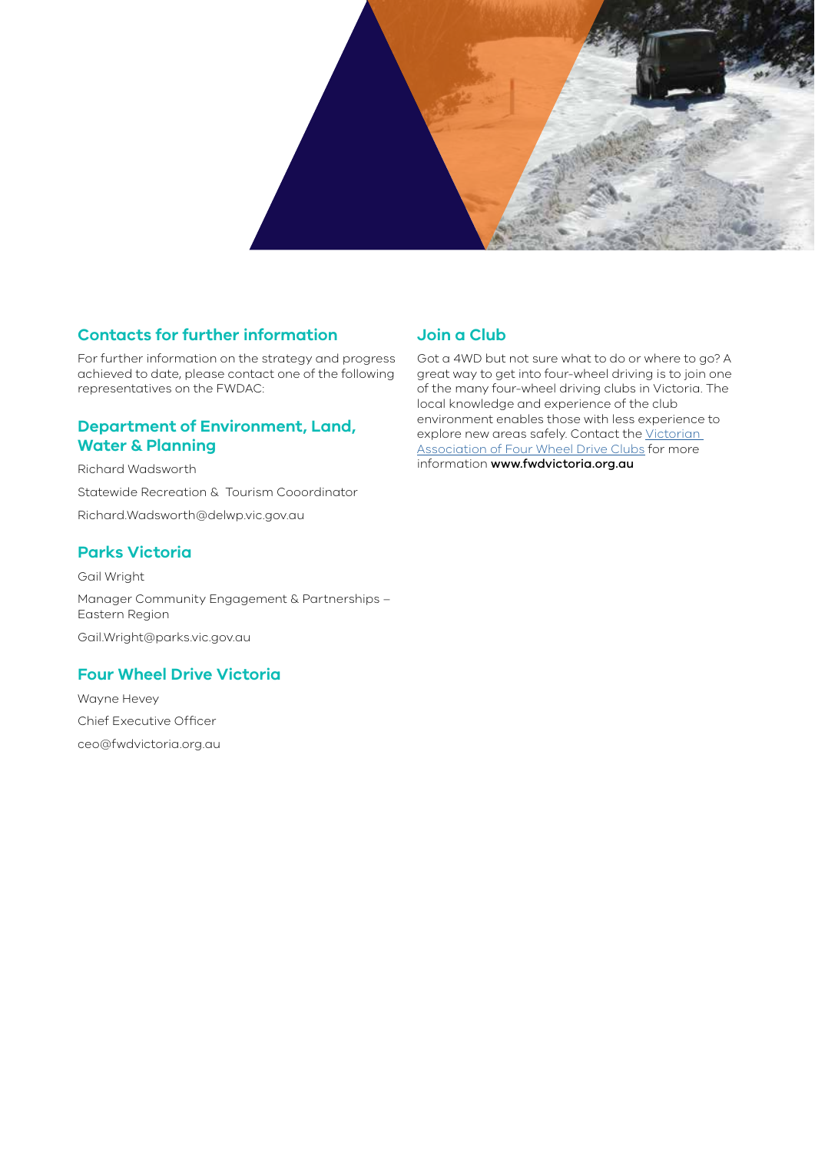

### **Contacts for further information**

For further information on the strategy and progress achieved to date, please contact one of the following representatives on the FWDAC:

#### **Department of Environment, Land, Water & Planning**

Richard Wadsworth Statewide Recreation & Tourism Cooordinator Richard.Wadsworth@delwp.vic.gov.au

#### **Parks Victoria**

Gail Wright Manager Community Engagement & Partnerships – Eastern Region Gail.Wright@parks.vic.gov.au

#### **Four Wheel Drive Victoria**

Wayne Hevey Chief Executive Officer ceo@fwdvictoria.org.au

## **Join a Club**

Got a 4WD but not sure what to do or where to go? A great way to get into four-wheel driving is to join one of the many four-wheel driving clubs in Victoria. The local knowledge and experience of the club environment enables those with less experience to explore new areas safely. Contact the Victorian Association of Four Wheel Drive Clubs for more information www.fwdvictoria.org.au